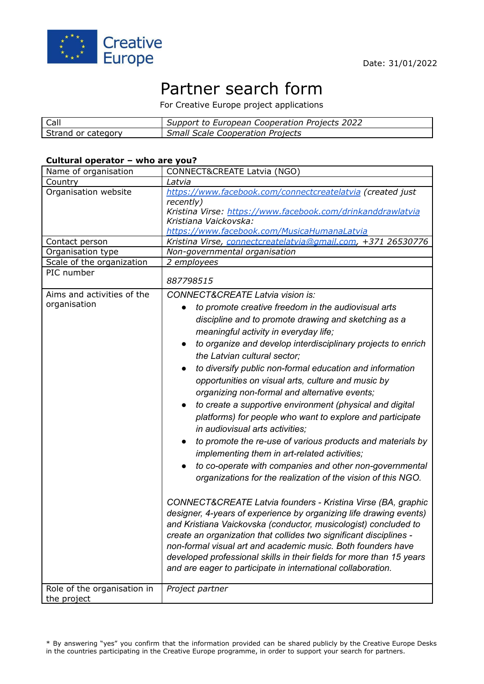

# Partner search form

For Creative Europe project applications

| Call               | Support to European Cooperation Projects 2022 |
|--------------------|-----------------------------------------------|
| Strand or category | <b>Small Scale Cooperation Projects</b>       |

## **Cultural operator – who are you?**

| Name of organisation                       | CONNECT&CREATE Latvia (NGO)                                                                                                                                                                                                                                                                                                                                                                                                                                                                                                                                                                                                                                                                                                                                                                                                                                                                                                                                                                                                                                                                                                                                                                                                                                                                                                                                                                                            |
|--------------------------------------------|------------------------------------------------------------------------------------------------------------------------------------------------------------------------------------------------------------------------------------------------------------------------------------------------------------------------------------------------------------------------------------------------------------------------------------------------------------------------------------------------------------------------------------------------------------------------------------------------------------------------------------------------------------------------------------------------------------------------------------------------------------------------------------------------------------------------------------------------------------------------------------------------------------------------------------------------------------------------------------------------------------------------------------------------------------------------------------------------------------------------------------------------------------------------------------------------------------------------------------------------------------------------------------------------------------------------------------------------------------------------------------------------------------------------|
| Country                                    | Latvia                                                                                                                                                                                                                                                                                                                                                                                                                                                                                                                                                                                                                                                                                                                                                                                                                                                                                                                                                                                                                                                                                                                                                                                                                                                                                                                                                                                                                 |
| Organisation website                       | https://www.facebook.com/connectcreatelatvia (created just<br>recently)<br>Kristina Virse: https://www.facebook.com/drinkanddrawlatvia<br>Kristiana Vaickovska:<br>https://www.facebook.com/MusicaHumanaLatvia                                                                                                                                                                                                                                                                                                                                                                                                                                                                                                                                                                                                                                                                                                                                                                                                                                                                                                                                                                                                                                                                                                                                                                                                         |
| Contact person                             | Kristina Virse, connectcreatelatvia@gmail.com, +371 26530776                                                                                                                                                                                                                                                                                                                                                                                                                                                                                                                                                                                                                                                                                                                                                                                                                                                                                                                                                                                                                                                                                                                                                                                                                                                                                                                                                           |
| Organisation type                          | Non-governmental organisation                                                                                                                                                                                                                                                                                                                                                                                                                                                                                                                                                                                                                                                                                                                                                                                                                                                                                                                                                                                                                                                                                                                                                                                                                                                                                                                                                                                          |
| Scale of the organization                  | 2 employees                                                                                                                                                                                                                                                                                                                                                                                                                                                                                                                                                                                                                                                                                                                                                                                                                                                                                                                                                                                                                                                                                                                                                                                                                                                                                                                                                                                                            |
| PIC number                                 | 887798515                                                                                                                                                                                                                                                                                                                                                                                                                                                                                                                                                                                                                                                                                                                                                                                                                                                                                                                                                                                                                                                                                                                                                                                                                                                                                                                                                                                                              |
| Aims and activities of the<br>organisation | <b>CONNECT&amp;CREATE Latvia vision is:</b><br>to promote creative freedom in the audiovisual arts<br>discipline and to promote drawing and sketching as a<br>meaningful activity in everyday life;<br>to organize and develop interdisciplinary projects to enrich<br>$\bullet$<br>the Latvian cultural sector;<br>to diversify public non-formal education and information<br>$\bullet$<br>opportunities on visual arts, culture and music by<br>organizing non-formal and alternative events;<br>to create a supportive environment (physical and digital<br>platforms) for people who want to explore and participate<br>in audiovisual arts activities;<br>to promote the re-use of various products and materials by<br>$\bullet$<br>implementing them in art-related activities;<br>to co-operate with companies and other non-governmental<br>$\bullet$<br>organizations for the realization of the vision of this NGO.<br>CONNECT&CREATE Latvia founders - Kristina Virse (BA, graphic<br>designer, 4-years of experience by organizing life drawing events)<br>and Kristiana Vaickovska (conductor, musicologist) concluded to<br>create an organization that collides two significant disciplines -<br>non-formal visual art and academic music. Both founders have<br>developed professional skills in their fields for more than 15 years<br>and are eager to participate in international collaboration. |
| Role of the organisation in<br>the project | Project partner                                                                                                                                                                                                                                                                                                                                                                                                                                                                                                                                                                                                                                                                                                                                                                                                                                                                                                                                                                                                                                                                                                                                                                                                                                                                                                                                                                                                        |